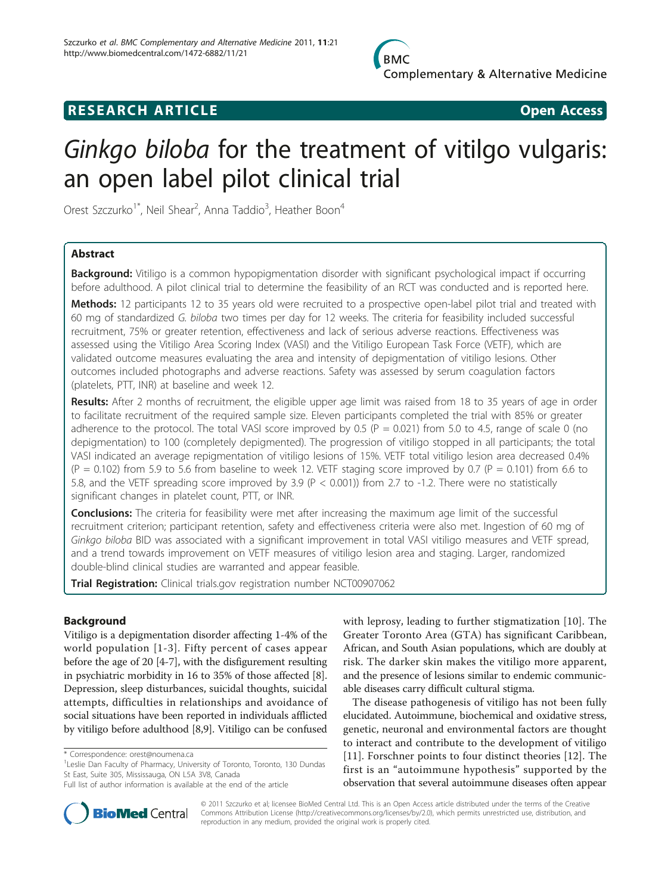

# **RESEARCH ARTICLE Example 2018 Open Access**

# Ginkgo biloba for the treatment of vitilgo vulgaris: an open label pilot clinical trial

Orest Szczurko<sup>1\*</sup>, Neil Shear<sup>2</sup>, Anna Taddio<sup>3</sup>, Heather Boon<sup>4</sup>

# Abstract

Background: Vitiligo is a common hypopigmentation disorder with significant psychological impact if occurring before adulthood. A pilot clinical trial to determine the feasibility of an RCT was conducted and is reported here.

Methods: 12 participants 12 to 35 years old were recruited to a prospective open-label pilot trial and treated with 60 mg of standardized G. biloba two times per day for 12 weeks. The criteria for feasibility included successful recruitment, 75% or greater retention, effectiveness and lack of serious adverse reactions. Effectiveness was assessed using the Vitiligo Area Scoring Index (VASI) and the Vitiligo European Task Force (VETF), which are validated outcome measures evaluating the area and intensity of depigmentation of vitiligo lesions. Other outcomes included photographs and adverse reactions. Safety was assessed by serum coagulation factors (platelets, PTT, INR) at baseline and week 12.

Results: After 2 months of recruitment, the eligible upper age limit was raised from 18 to 35 years of age in order to facilitate recruitment of the required sample size. Eleven participants completed the trial with 85% or greater adherence to the protocol. The total VASI score improved by 0.5 ( $P = 0.021$ ) from 5.0 to 4.5, range of scale 0 (no depigmentation) to 100 (completely depigmented). The progression of vitiligo stopped in all participants; the total VASI indicated an average repigmentation of vitiligo lesions of 15%. VETF total vitiligo lesion area decreased 0.4%  $(P = 0.102)$  from 5.9 to 5.6 from baseline to week 12. VETF staging score improved by 0.7 (P = 0.101) from 6.6 to 5.8, and the VETF spreading score improved by 3.9 (P < 0.001)) from 2.7 to -1.2. There were no statistically significant changes in platelet count, PTT, or INR.

**Conclusions:** The criteria for feasibility were met after increasing the maximum age limit of the successful recruitment criterion; participant retention, safety and effectiveness criteria were also met. Ingestion of 60 mg of Ginkgo biloba BID was associated with a significant improvement in total VASI vitiligo measures and VETF spread, and a trend towards improvement on VETF measures of vitiligo lesion area and staging. Larger, randomized double-blind clinical studies are warranted and appear feasible.

Trial Registration: Clinical trials.gov registration number [NCT00907062](http://www.clinicaltrials.gov/ct2/show/NCT00907062)

# Background

Vitiligo is a depigmentation disorder affecting 1-4% of the world population [[1](#page-7-0)-[3](#page-7-0)]. Fifty percent of cases appear before the age of 20 [[4](#page-7-0)-[7\]](#page-8-0), with the disfigurement resulting in psychiatric morbidity in 16 to 35% of those affected [\[8](#page-8-0)]. Depression, sleep disturbances, suicidal thoughts, suicidal attempts, difficulties in relationships and avoidance of social situations have been reported in individuals afflicted by vitiligo before adulthood [[8,9](#page-8-0)]. Vitiligo can be confused

with leprosy, leading to further stigmatization [[10\]](#page-8-0). The Greater Toronto Area (GTA) has significant Caribbean, African, and South Asian populations, which are doubly at risk. The darker skin makes the vitiligo more apparent, and the presence of lesions similar to endemic communicable diseases carry difficult cultural stigma.

The disease pathogenesis of vitiligo has not been fully elucidated. Autoimmune, biochemical and oxidative stress, genetic, neuronal and environmental factors are thought to interact and contribute to the development of vitiligo [[11\]](#page-8-0). Forschner points to four distinct theories [[12\]](#page-8-0). The first is an "autoimmune hypothesis" supported by the observation that several autoimmune diseases often appear



© 2011 Szczurko et al; licensee BioMed Central Ltd. This is an Open Access article distributed under the terms of the Creative Commons Attribution License [\(http://creativecommons.org/licenses/by/2.0](http://creativecommons.org/licenses/by/2.0)), which permits unrestricted use, distribution, and reproduction in any medium, provided the original work is properly cited.

<sup>\*</sup> Correspondence: [orest@noumena.ca](mailto:orest@noumena.ca)

<sup>&</sup>lt;sup>1</sup> Leslie Dan Faculty of Pharmacy, University of Toronto, Toronto, 130 Dundas St East, Suite 305, Mississauga, ON L5A 3V8, Canada

Full list of author information is available at the end of the article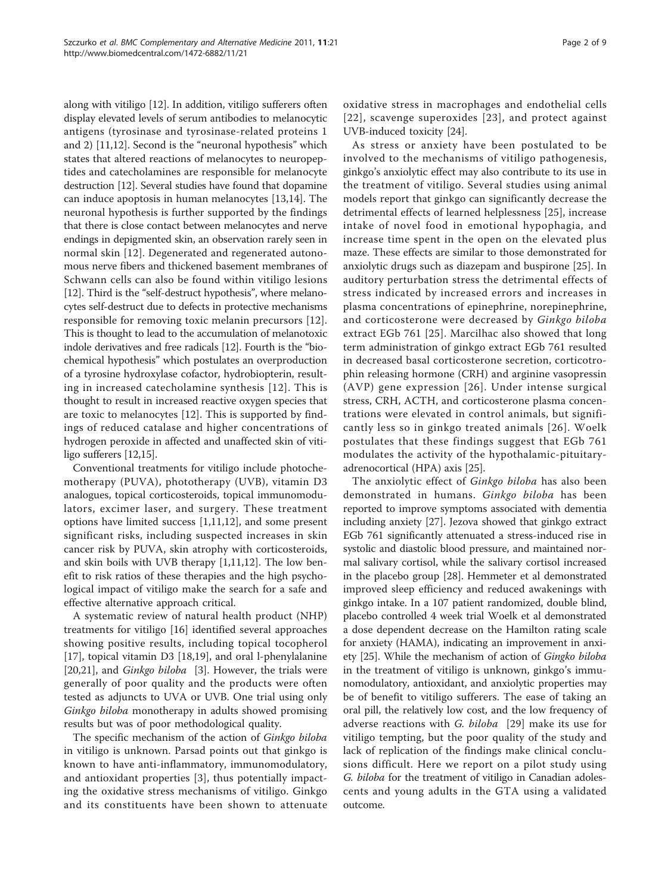Page 2 of 9

along with vitiligo [\[12](#page-8-0)]. In addition, vitiligo sufferers often display elevated levels of serum antibodies to melanocytic antigens (tyrosinase and tyrosinase-related proteins 1 and 2) [\[11,12](#page-8-0)]. Second is the "neuronal hypothesis" which states that altered reactions of melanocytes to neuropeptides and catecholamines are responsible for melanocyte destruction [\[12](#page-8-0)]. Several studies have found that dopamine can induce apoptosis in human melanocytes [\[13,14](#page-8-0)]. The neuronal hypothesis is further supported by the findings that there is close contact between melanocytes and nerve endings in depigmented skin, an observation rarely seen in normal skin [[12](#page-8-0)]. Degenerated and regenerated autonomous nerve fibers and thickened basement membranes of Schwann cells can also be found within vitiligo lesions [[12](#page-8-0)]. Third is the "self-destruct hypothesis", where melanocytes self-destruct due to defects in protective mechanisms responsible for removing toxic melanin precursors [[12](#page-8-0)]. This is thought to lead to the accumulation of melanotoxic indole derivatives and free radicals [[12](#page-8-0)]. Fourth is the "biochemical hypothesis" which postulates an overproduction of a tyrosine hydroxylase cofactor, hydrobiopterin, resulting in increased catecholamine synthesis [[12](#page-8-0)]. This is thought to result in increased reactive oxygen species that are toxic to melanocytes [\[12](#page-8-0)]. This is supported by findings of reduced catalase and higher concentrations of hydrogen peroxide in affected and unaffected skin of vitiligo sufferers [\[12,15\]](#page-8-0).

Conventional treatments for vitiligo include photochemotherapy (PUVA), phototherapy (UVB), vitamin D3 analogues, topical corticosteroids, topical immunomodulators, excimer laser, and surgery. These treatment options have limited success [\[1](#page-7-0)[,11,12\]](#page-8-0), and some present significant risks, including suspected increases in skin cancer risk by PUVA, skin atrophy with corticosteroids, and skin boils with UVB therapy [[1,](#page-7-0)[11,12](#page-8-0)]. The low benefit to risk ratios of these therapies and the high psychological impact of vitiligo make the search for a safe and effective alternative approach critical.

A systematic review of natural health product (NHP) treatments for vitiligo [\[16](#page-8-0)] identified several approaches showing positive results, including topical tocopherol [[17\]](#page-8-0), topical vitamin D3 [[18,19\]](#page-8-0), and oral l-phenylalanine [[20,21\]](#page-8-0), and *Ginkgo biloba* [[3\]](#page-7-0). However, the trials were generally of poor quality and the products were often tested as adjuncts to UVA or UVB. One trial using only Ginkgo biloba monotherapy in adults showed promising results but was of poor methodological quality.

The specific mechanism of the action of Ginkgo biloba in vitiligo is unknown. Parsad points out that ginkgo is known to have anti-inflammatory, immunomodulatory, and antioxidant properties [\[3](#page-7-0)], thus potentially impacting the oxidative stress mechanisms of vitiligo. Ginkgo and its constituents have been shown to attenuate

oxidative stress in macrophages and endothelial cells [[22\]](#page-8-0), scavenge superoxides [[23](#page-8-0)], and protect against UVB-induced toxicity [[24\]](#page-8-0).

As stress or anxiety have been postulated to be involved to the mechanisms of vitiligo pathogenesis, ginkgo's anxiolytic effect may also contribute to its use in the treatment of vitiligo. Several studies using animal models report that ginkgo can significantly decrease the detrimental effects of learned helplessness [\[25\]](#page-8-0), increase intake of novel food in emotional hypophagia, and increase time spent in the open on the elevated plus maze. These effects are similar to those demonstrated for anxiolytic drugs such as diazepam and buspirone [[25\]](#page-8-0). In auditory perturbation stress the detrimental effects of stress indicated by increased errors and increases in plasma concentrations of epinephrine, norepinephrine, and corticosterone were decreased by Ginkgo biloba extract EGb 761 [[25\]](#page-8-0). Marcilhac also showed that long term administration of ginkgo extract EGb 761 resulted in decreased basal corticosterone secretion, corticotrophin releasing hormone (CRH) and arginine vasopressin (AVP) gene expression [[26](#page-8-0)]. Under intense surgical stress, CRH, ACTH, and corticosterone plasma concentrations were elevated in control animals, but significantly less so in ginkgo treated animals [[26](#page-8-0)]. Woelk postulates that these findings suggest that EGb 761 modulates the activity of the hypothalamic-pituitaryadrenocortical (HPA) axis [[25\]](#page-8-0).

The anxiolytic effect of Ginkgo biloba has also been demonstrated in humans. Ginkgo biloba has been reported to improve symptoms associated with dementia including anxiety [[27\]](#page-8-0). Jezova showed that ginkgo extract EGb 761 significantly attenuated a stress-induced rise in systolic and diastolic blood pressure, and maintained normal salivary cortisol, while the salivary cortisol increased in the placebo group [[28](#page-8-0)]. Hemmeter et al demonstrated improved sleep efficiency and reduced awakenings with ginkgo intake. In a 107 patient randomized, double blind, placebo controlled 4 week trial Woelk et al demonstrated a dose dependent decrease on the Hamilton rating scale for anxiety (HAMA), indicating an improvement in anxiety [[25](#page-8-0)]. While the mechanism of action of Gingko biloba in the treatment of vitiligo is unknown, ginkgo's immunomodulatory, antioxidant, and anxiolytic properties may be of benefit to vitiligo sufferers. The ease of taking an oral pill, the relatively low cost, and the low frequency of adverse reactions with *G. biloba* [[29\]](#page-8-0) make its use for vitiligo tempting, but the poor quality of the study and lack of replication of the findings make clinical conclusions difficult. Here we report on a pilot study using G. biloba for the treatment of vitiligo in Canadian adolescents and young adults in the GTA using a validated outcome.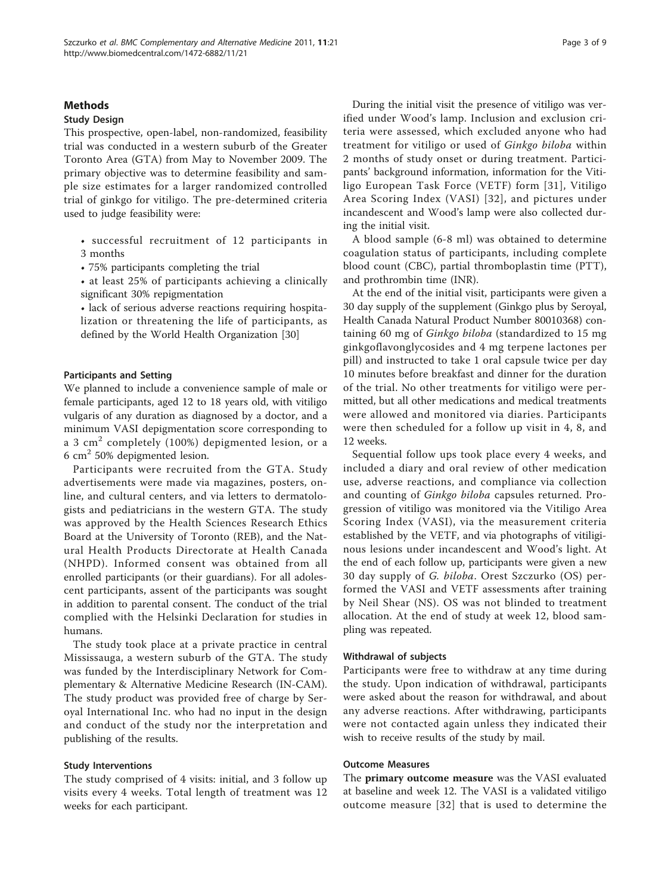#### Methods

#### Study Design

This prospective, open-label, non-randomized, feasibility trial was conducted in a western suburb of the Greater Toronto Area (GTA) from May to November 2009. The primary objective was to determine feasibility and sample size estimates for a larger randomized controlled trial of ginkgo for vitiligo. The pre-determined criteria used to judge feasibility were:

- successful recruitment of 12 participants in 3 months
- 75% participants completing the trial
- at least 25% of participants achieving a clinically significant 30% repigmentation

• lack of serious adverse reactions requiring hospitalization or threatening the life of participants, as defined by the World Health Organization [\[30\]](#page-8-0)

## Participants and Setting

We planned to include a convenience sample of male or female participants, aged 12 to 18 years old, with vitiligo vulgaris of any duration as diagnosed by a doctor, and a minimum VASI depigmentation score corresponding to a 3 cm<sup>2</sup> completely (100%) depigmented lesion, or a 6  $cm<sup>2</sup>$  50% depigmented lesion.

Participants were recruited from the GTA. Study advertisements were made via magazines, posters, online, and cultural centers, and via letters to dermatologists and pediatricians in the western GTA. The study was approved by the Health Sciences Research Ethics Board at the University of Toronto (REB), and the Natural Health Products Directorate at Health Canada (NHPD). Informed consent was obtained from all enrolled participants (or their guardians). For all adolescent participants, assent of the participants was sought in addition to parental consent. The conduct of the trial complied with the Helsinki Declaration for studies in humans.

The study took place at a private practice in central Mississauga, a western suburb of the GTA. The study was funded by the Interdisciplinary Network for Complementary & Alternative Medicine Research (IN-CAM). The study product was provided free of charge by Seroyal International Inc. who had no input in the design and conduct of the study nor the interpretation and publishing of the results.

#### Study Interventions

The study comprised of 4 visits: initial, and 3 follow up visits every 4 weeks. Total length of treatment was 12 weeks for each participant.

During the initial visit the presence of vitiligo was verified under Wood's lamp. Inclusion and exclusion criteria were assessed, which excluded anyone who had treatment for vitiligo or used of Ginkgo biloba within 2 months of study onset or during treatment. Participants' background information, information for the Vitiligo European Task Force (VETF) form [[31\]](#page-8-0), Vitiligo Area Scoring Index (VASI) [[32\]](#page-8-0), and pictures under incandescent and Wood's lamp were also collected during the initial visit.

A blood sample (6-8 ml) was obtained to determine coagulation status of participants, including complete blood count (CBC), partial thromboplastin time (PTT), and prothrombin time (INR).

At the end of the initial visit, participants were given a 30 day supply of the supplement (Ginkgo plus by Seroyal, Health Canada Natural Product Number 80010368) containing 60 mg of Ginkgo biloba (standardized to 15 mg ginkgoflavonglycosides and 4 mg terpene lactones per pill) and instructed to take 1 oral capsule twice per day 10 minutes before breakfast and dinner for the duration of the trial. No other treatments for vitiligo were permitted, but all other medications and medical treatments were allowed and monitored via diaries. Participants were then scheduled for a follow up visit in 4, 8, and 12 weeks.

Sequential follow ups took place every 4 weeks, and included a diary and oral review of other medication use, adverse reactions, and compliance via collection and counting of Ginkgo biloba capsules returned. Progression of vitiligo was monitored via the Vitiligo Area Scoring Index (VASI), via the measurement criteria established by the VETF, and via photographs of vitiliginous lesions under incandescent and Wood's light. At the end of each follow up, participants were given a new 30 day supply of G. biloba. Orest Szczurko (OS) performed the VASI and VETF assessments after training by Neil Shear (NS). OS was not blinded to treatment allocation. At the end of study at week 12, blood sampling was repeated.

#### Withdrawal of subjects

Participants were free to withdraw at any time during the study. Upon indication of withdrawal, participants were asked about the reason for withdrawal, and about any adverse reactions. After withdrawing, participants were not contacted again unless they indicated their wish to receive results of the study by mail.

#### Outcome Measures

The primary outcome measure was the VASI evaluated at baseline and week 12. The VASI is a validated vitiligo outcome measure [\[32](#page-8-0)] that is used to determine the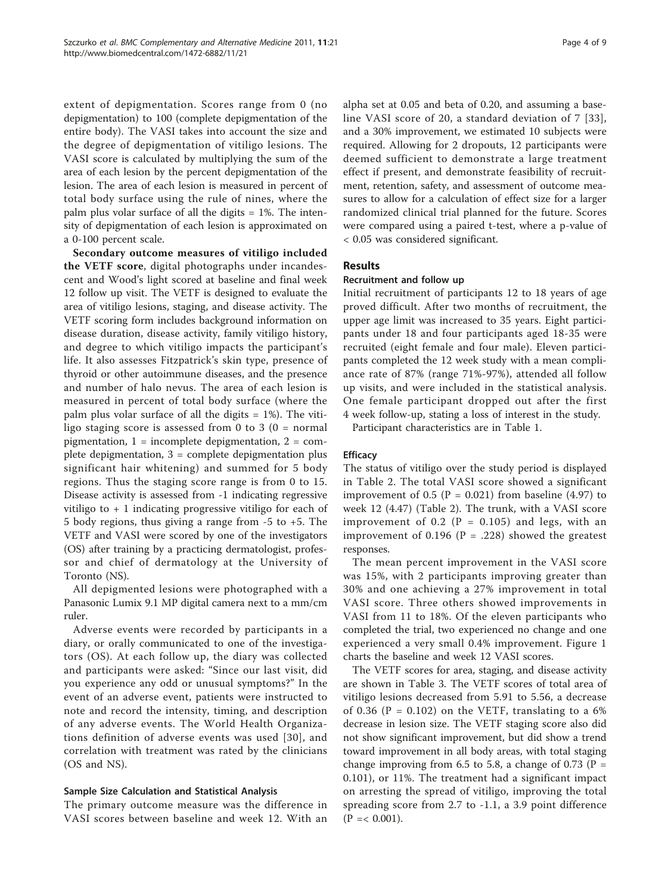extent of depigmentation. Scores range from 0 (no depigmentation) to 100 (complete depigmentation of the entire body). The VASI takes into account the size and the degree of depigmentation of vitiligo lesions. The VASI score is calculated by multiplying the sum of the area of each lesion by the percent depigmentation of the lesion. The area of each lesion is measured in percent of total body surface using the rule of nines, where the palm plus volar surface of all the digits  $= 1\%$ . The intensity of depigmentation of each lesion is approximated on a 0-100 percent scale.

Secondary outcome measures of vitiligo included the VETF score, digital photographs under incandescent and Wood's light scored at baseline and final week 12 follow up visit. The VETF is designed to evaluate the area of vitiligo lesions, staging, and disease activity. The VETF scoring form includes background information on disease duration, disease activity, family vitiligo history, and degree to which vitiligo impacts the participant's life. It also assesses Fitzpatrick's skin type, presence of thyroid or other autoimmune diseases, and the presence and number of halo nevus. The area of each lesion is measured in percent of total body surface (where the palm plus volar surface of all the digits  $= 1\%$ ). The vitiligo staging score is assessed from 0 to 3  $(0 = normal$ pigmentation,  $1 =$  incomplete depigmentation,  $2 =$  complete depigmentation,  $3 =$  complete depigmentation plus significant hair whitening) and summed for 5 body regions. Thus the staging score range is from 0 to 15. Disease activity is assessed from -1 indicating regressive vitiligo to + 1 indicating progressive vitiligo for each of 5 body regions, thus giving a range from -5 to +5. The VETF and VASI were scored by one of the investigators (OS) after training by a practicing dermatologist, professor and chief of dermatology at the University of Toronto (NS).

All depigmented lesions were photographed with a Panasonic Lumix 9.1 MP digital camera next to a mm/cm ruler.

Adverse events were recorded by participants in a diary, or orally communicated to one of the investigators (OS). At each follow up, the diary was collected and participants were asked: "Since our last visit, did you experience any odd or unusual symptoms?" In the event of an adverse event, patients were instructed to note and record the intensity, timing, and description of any adverse events. The World Health Organizations definition of adverse events was used [[30](#page-8-0)], and correlation with treatment was rated by the clinicians (OS and NS).

#### Sample Size Calculation and Statistical Analysis

The primary outcome measure was the difference in VASI scores between baseline and week 12. With an alpha set at 0.05 and beta of 0.20, and assuming a baseline VASI score of 20, a standard deviation of 7 [[33\]](#page-8-0), and a 30% improvement, we estimated 10 subjects were required. Allowing for 2 dropouts, 12 participants were deemed sufficient to demonstrate a large treatment effect if present, and demonstrate feasibility of recruitment, retention, safety, and assessment of outcome measures to allow for a calculation of effect size for a larger randomized clinical trial planned for the future. Scores were compared using a paired t-test, where a p-value of < 0.05 was considered significant.

# **Results**

## Recruitment and follow up

Initial recruitment of participants 12 to 18 years of age proved difficult. After two months of recruitment, the upper age limit was increased to 35 years. Eight participants under 18 and four participants aged 18-35 were recruited (eight female and four male). Eleven participants completed the 12 week study with a mean compliance rate of 87% (range 71%-97%), attended all follow up visits, and were included in the statistical analysis. One female participant dropped out after the first 4 week follow-up, stating a loss of interest in the study.

Participant characteristics are in Table [1](#page-4-0).

# **Efficacy**

The status of vitiligo over the study period is displayed in Table [2](#page-5-0). The total VASI score showed a significant improvement of 0.5 ( $P = 0.021$ ) from baseline (4.97) to week 12 (4.47) (Table [2](#page-5-0)). The trunk, with a VASI score improvement of 0.2 ( $P = 0.105$ ) and legs, with an improvement of 0.196 ( $P = .228$ ) showed the greatest responses.

The mean percent improvement in the VASI score was 15%, with 2 participants improving greater than 30% and one achieving a 27% improvement in total VASI score. Three others showed improvements in VASI from 11 to 18%. Of the eleven participants who completed the trial, two experienced no change and one experienced a very small 0.4% improvement. Figure [1](#page-5-0) charts the baseline and week 12 VASI scores.

The VETF scores for area, staging, and disease activity are shown in Table [3](#page-6-0). The VETF scores of total area of vitiligo lesions decreased from 5.91 to 5.56, a decrease of 0.36 ( $P = 0.102$ ) on the VETF, translating to a 6% decrease in lesion size. The VETF staging score also did not show significant improvement, but did show a trend toward improvement in all body areas, with total staging change improving from 6.5 to 5.8, a change of 0.73 ( $P =$ 0.101), or 11%. The treatment had a significant impact on arresting the spread of vitiligo, improving the total spreading score from 2.7 to -1.1, a 3.9 point difference  $(P = < 0.001)$ .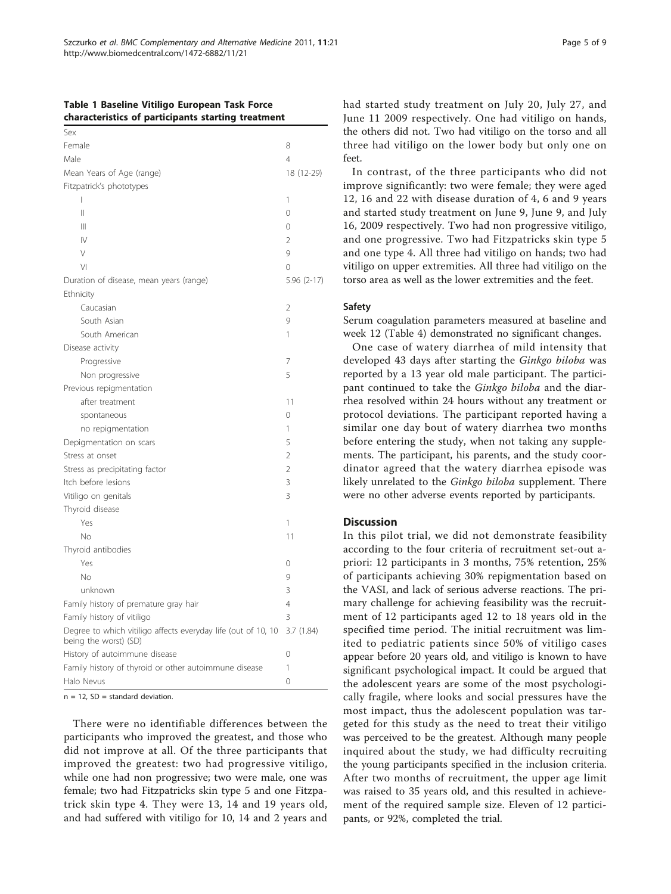#### <span id="page-4-0"></span>Table 1 Baseline Vitiligo European Task Force characteristics of participants starting treatment

| Sex                                                                                    |                |
|----------------------------------------------------------------------------------------|----------------|
| Female                                                                                 | 8              |
| Male                                                                                   | 4              |
| Mean Years of Age (range)                                                              | 18 (12-29)     |
| Fitzpatrick's phototypes                                                               |                |
| I                                                                                      | 1              |
| $\mathsf{II}$                                                                          | $\overline{O}$ |
| $\mathbf{  }$                                                                          | 0              |
| $\mathsf{N}$                                                                           | $\overline{2}$ |
| $\vee$                                                                                 | 9              |
| $\vee$                                                                                 | $\overline{O}$ |
| Duration of disease, mean years (range)                                                | $5.96(2-17)$   |
| Ethnicity                                                                              |                |
| Caucasian                                                                              | $\overline{2}$ |
| South Asian                                                                            | 9              |
| South American                                                                         | 1              |
| Disease activity                                                                       |                |
| Progressive                                                                            | 7              |
| Non progressive                                                                        | 5              |
| Previous repigmentation                                                                |                |
| after treatment                                                                        | 11             |
| spontaneous                                                                            | 0              |
| no repigmentation                                                                      | 1              |
| Depigmentation on scars                                                                | 5              |
| Stress at onset                                                                        | $\overline{2}$ |
| Stress as precipitating factor                                                         | $\overline{2}$ |
| Itch before lesions                                                                    | 3              |
| Vitiligo on genitals                                                                   | 3              |
| Thyroid disease                                                                        |                |
| Yes                                                                                    | 1              |
| No                                                                                     | 11             |
| Thyroid antibodies                                                                     |                |
| Yes                                                                                    | 0              |
| No                                                                                     | 9              |
| unknown                                                                                | 3              |
| Family history of premature gray hair                                                  | 4              |
| Family history of vitiligo                                                             | 3              |
| Degree to which vitiligo affects everyday life (out of 10, 10<br>being the worst) (SD) | 3.7(1.84)      |
| History of autoimmune disease                                                          | 0              |
| Family history of thyroid or other autoimmune disease                                  | 1              |
| Halo Nevus                                                                             | $\overline{O}$ |

 $n = 12$ , SD = standard deviation.

There were no identifiable differences between the participants who improved the greatest, and those who did not improve at all. Of the three participants that improved the greatest: two had progressive vitiligo, while one had non progressive; two were male, one was female; two had Fitzpatricks skin type 5 and one Fitzpatrick skin type 4. They were 13, 14 and 19 years old, and had suffered with vitiligo for 10, 14 and 2 years and had started study treatment on July 20, July 27, and June 11 2009 respectively. One had vitiligo on hands, the others did not. Two had vitiligo on the torso and all three had vitiligo on the lower body but only one on feet.

In contrast, of the three participants who did not improve significantly: two were female; they were aged 12, 16 and 22 with disease duration of 4, 6 and 9 years and started study treatment on June 9, June 9, and July 16, 2009 respectively. Two had non progressive vitiligo, and one progressive. Two had Fitzpatricks skin type 5 and one type 4. All three had vitiligo on hands; two had vitiligo on upper extremities. All three had vitiligo on the torso area as well as the lower extremities and the feet.

#### **Safety**

Serum coagulation parameters measured at baseline and week 12 (Table [4\)](#page-6-0) demonstrated no significant changes.

One case of watery diarrhea of mild intensity that developed 43 days after starting the Ginkgo biloba was reported by a 13 year old male participant. The participant continued to take the Ginkgo biloba and the diarrhea resolved within 24 hours without any treatment or protocol deviations. The participant reported having a similar one day bout of watery diarrhea two months before entering the study, when not taking any supplements. The participant, his parents, and the study coordinator agreed that the watery diarrhea episode was likely unrelated to the *Ginkgo biloba* supplement. There were no other adverse events reported by participants.

# **Discussion**

In this pilot trial, we did not demonstrate feasibility according to the four criteria of recruitment set-out apriori: 12 participants in 3 months, 75% retention, 25% of participants achieving 30% repigmentation based on the VASI, and lack of serious adverse reactions. The primary challenge for achieving feasibility was the recruitment of 12 participants aged 12 to 18 years old in the specified time period. The initial recruitment was limited to pediatric patients since 50% of vitiligo cases appear before 20 years old, and vitiligo is known to have significant psychological impact. It could be argued that the adolescent years are some of the most psychologically fragile, where looks and social pressures have the most impact, thus the adolescent population was targeted for this study as the need to treat their vitiligo was perceived to be the greatest. Although many people inquired about the study, we had difficulty recruiting the young participants specified in the inclusion criteria. After two months of recruitment, the upper age limit was raised to 35 years old, and this resulted in achievement of the required sample size. Eleven of 12 participants, or 92%, completed the trial.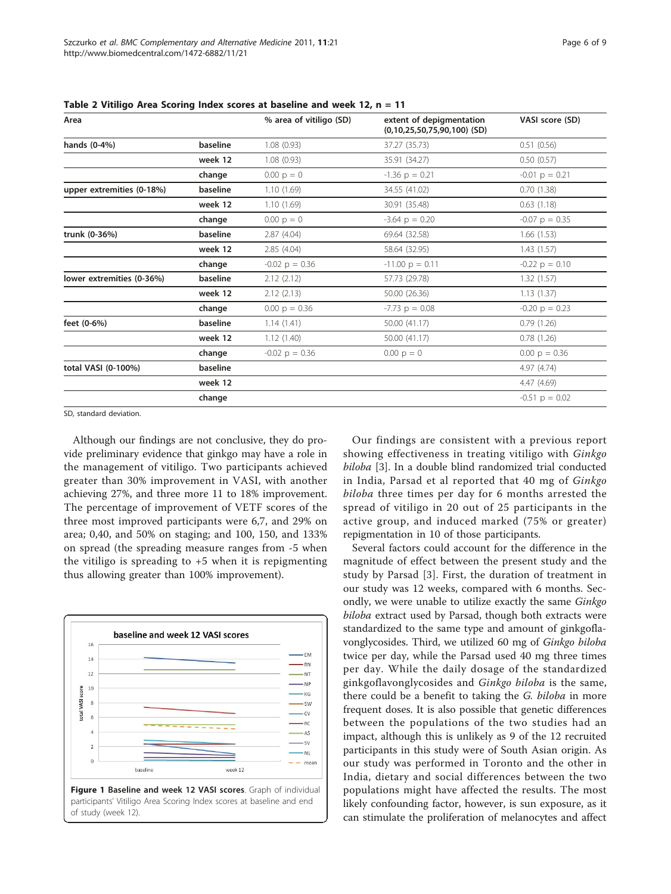| Area                      |          | % area of vitiligo (SD) | extent of depigmentation<br>$(0,10,25,50,75,90,100)$ (SD) | VASI score (SD)  |
|---------------------------|----------|-------------------------|-----------------------------------------------------------|------------------|
| hands (0-4%)              | baseline | 1.08(0.93)              | 37.27 (35.73)                                             | 0.51(0.56)       |
|                           | week 12  | 1.08(0.93)              | 35.91 (34.27)                                             | 0.50(0.57)       |
|                           | change   | $0.00 p = 0$            | $-1.36$ p = 0.21                                          | $-0.01$ p = 0.21 |
| upper extremities (0-18%) | baseline | 1.10(1.69)              | 34.55 (41.02)                                             | 0.70(1.38)       |
|                           | week 12  | 1.10(1.69)              | 30.91 (35.48)                                             | 0.63(1.18)       |
|                           | change   | $0.00 p = 0$            | $-3.64$ p = 0.20                                          | $-0.07$ p = 0.35 |
| trunk (0-36%)             | baseline | 2.87(4.04)              | 69.64 (32.58)                                             | 1.66(1.53)       |
|                           | week 12  | 2.85(4.04)              | 58.64 (32.95)                                             | 1.43(1.57)       |
|                           | change   | $-0.02$ p = 0.36        | $-11.00 p = 0.11$                                         | $-0.22$ p = 0.10 |
| lower extremities (0-36%) | baseline | 2.12(2.12)              | 57.73 (29.78)                                             | 1.32(1.57)       |
|                           | week 12  | 2.12(2.13)              | 50.00 (26.36)                                             | 1.13(1.37)       |
|                           | change   | $0.00 \text{ p} = 0.36$ | $-7.73$ p = 0.08                                          | $-0.20$ p = 0.23 |
| feet (0-6%)               | baseline | 1.14(1.41)              | 50.00 (41.17)                                             | 0.79(1.26)       |
|                           | week 12  | 1.12(1.40)              | 50.00 (41.17)                                             | 0.78(1.26)       |
|                           | change   | $-0.02$ p = 0.36        | $0.00 p = 0$                                              | $0.00 p = 0.36$  |
| total VASI (0-100%)       | baseline |                         |                                                           | 4.97 (4.74)      |
|                           | week 12  |                         |                                                           | 4.47(4.69)       |
|                           | change   |                         |                                                           | $-0.51$ p = 0.02 |
|                           |          |                         |                                                           |                  |

<span id="page-5-0"></span>Table 2 Vitiligo Area Scoring Index scores at baseline and week 12, n = 11

SD, standard deviation.

Although our findings are not conclusive, they do provide preliminary evidence that ginkgo may have a role in the management of vitiligo. Two participants achieved greater than 30% improvement in VASI, with another achieving 27%, and three more 11 to 18% improvement. The percentage of improvement of VETF scores of the three most improved participants were 6,7, and 29% on area; 0,40, and 50% on staging; and 100, 150, and 133% on spread (the spreading measure ranges from -5 when the vitiligo is spreading to  $+5$  when it is repigmenting thus allowing greater than 100% improvement).



Our findings are consistent with a previous report showing effectiveness in treating vitiligo with Ginkgo biloba [[3](#page-7-0)]. In a double blind randomized trial conducted in India, Parsad et al reported that 40 mg of Ginkgo biloba three times per day for 6 months arrested the spread of vitiligo in 20 out of 25 participants in the active group, and induced marked (75% or greater) repigmentation in 10 of those participants.

Several factors could account for the difference in the magnitude of effect between the present study and the study by Parsad [[3\]](#page-7-0). First, the duration of treatment in our study was 12 weeks, compared with 6 months. Secondly, we were unable to utilize exactly the same Ginkgo biloba extract used by Parsad, though both extracts were standardized to the same type and amount of ginkgoflavonglycosides. Third, we utilized 60 mg of Ginkgo biloba twice per day, while the Parsad used 40 mg three times per day. While the daily dosage of the standardized ginkgoflavonglycosides and Ginkgo biloba is the same, there could be a benefit to taking the G. biloba in more frequent doses. It is also possible that genetic differences between the populations of the two studies had an impact, although this is unlikely as 9 of the 12 recruited participants in this study were of South Asian origin. As our study was performed in Toronto and the other in India, dietary and social differences between the two populations might have affected the results. The most likely confounding factor, however, is sun exposure, as it can stimulate the proliferation of melanocytes and affect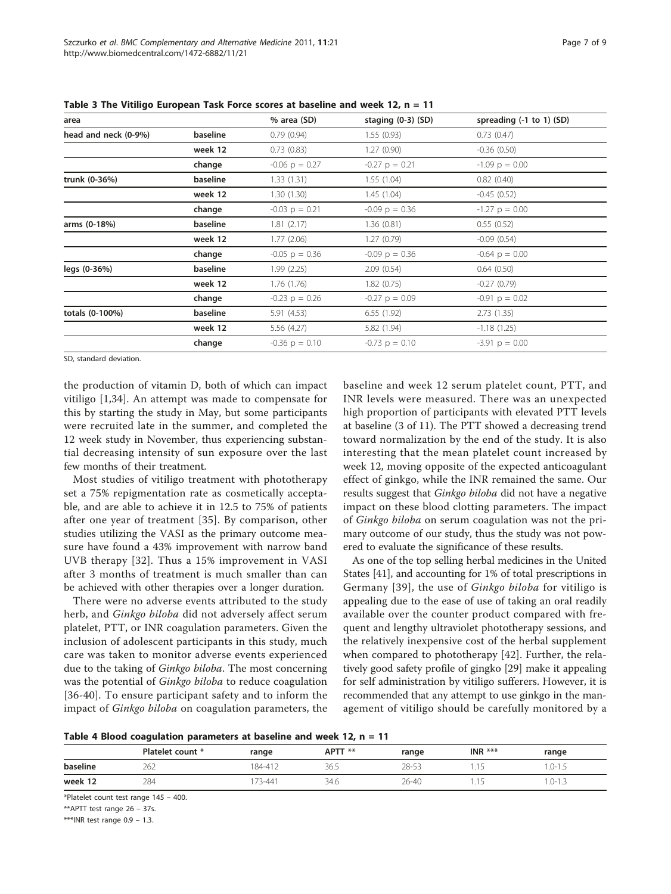| area                 |          | % area (SD)      | staging $(0-3)$ $(SD)$ | spreading (-1 to 1) (SD) |
|----------------------|----------|------------------|------------------------|--------------------------|
| head and neck (0-9%) | baseline | 0.79(0.94)       | 1.55(0.93)             | 0.73(0.47)               |
|                      | week 12  | 0.73(0.83)       | 1.27(0.90)             | $-0.36(0.50)$            |
|                      | change   | $-0.06$ p = 0.27 | $-0.27$ p = 0.21       | $-1.09$ p = 0.00         |
| trunk (0-36%)        | baseline | 1.33(1.31)       | 1.55(1.04)             | 0.82(0.40)               |
|                      | week 12  | 1.30(1.30)       | 1.45(1.04)             | $-0.45(0.52)$            |
|                      | change   | $-0.03$ p = 0.21 | $-0.09$ p = 0.36       | $-1.27$ p = 0.00         |
| arms (0-18%)         | baseline | 1.81(2.17)       | 1.36(0.81)             | 0.55(0.52)               |
|                      | week 12  | 1.77(2.06)       | 1.27(0.79)             | $-0.09(0.54)$            |
|                      | change   | $-0.05$ p = 0.36 | $-0.09$ p = 0.36       | $-0.64$ p = 0.00         |
| legs (0-36%)         | baseline | 1.99(2.25)       | 2.09(0.54)             | 0.64(0.50)               |
|                      | week 12  | 1.76(1.76)       | 1.82(0.75)             | $-0.27(0.79)$            |
|                      | change   | $-0.23$ p = 0.26 | $-0.27$ p = 0.09       | $-0.91$ p = 0.02         |
| totals (0-100%)      | baseline | 5.91(4.53)       | 6.55(1.92)             | 2.73(1.35)               |
|                      | week 12  | 5.56(4.27)       | 5.82 (1.94)            | $-1.18(1.25)$            |
|                      | change   | $-0.36$ p = 0.10 | $-0.73$ p = 0.10       | $-3.91$ p = 0.00         |

<span id="page-6-0"></span>Table 3 The Vitiligo European Task Force scores at baseline and week 12, n = 11

SD, standard deviation.

the production of vitamin D, both of which can impact vitiligo [[1,](#page-7-0)[34](#page-8-0)]. An attempt was made to compensate for this by starting the study in May, but some participants were recruited late in the summer, and completed the 12 week study in November, thus experiencing substantial decreasing intensity of sun exposure over the last few months of their treatment.

Most studies of vitiligo treatment with phototherapy set a 75% repigmentation rate as cosmetically acceptable, and are able to achieve it in 12.5 to 75% of patients after one year of treatment [[35\]](#page-8-0). By comparison, other studies utilizing the VASI as the primary outcome measure have found a 43% improvement with narrow band UVB therapy [[32](#page-8-0)]. Thus a 15% improvement in VASI after 3 months of treatment is much smaller than can be achieved with other therapies over a longer duration.

There were no adverse events attributed to the study herb, and Ginkgo biloba did not adversely affect serum platelet, PTT, or INR coagulation parameters. Given the inclusion of adolescent participants in this study, much care was taken to monitor adverse events experienced due to the taking of *Ginkgo biloba*. The most concerning was the potential of Ginkgo biloba to reduce coagulation [[36](#page-8-0)-[40](#page-8-0)]. To ensure participant safety and to inform the impact of Ginkgo biloba on coagulation parameters, the

baseline and week 12 serum platelet count, PTT, and INR levels were measured. There was an unexpected high proportion of participants with elevated PTT levels at baseline (3 of 11). The PTT showed a decreasing trend toward normalization by the end of the study. It is also interesting that the mean platelet count increased by week 12, moving opposite of the expected anticoagulant effect of ginkgo, while the INR remained the same. Our results suggest that Ginkgo biloba did not have a negative impact on these blood clotting parameters. The impact of Ginkgo biloba on serum coagulation was not the primary outcome of our study, thus the study was not powered to evaluate the significance of these results.

As one of the top selling herbal medicines in the United States [\[41\]](#page-8-0), and accounting for 1% of total prescriptions in Germany [[39](#page-8-0)], the use of Ginkgo biloba for vitiligo is appealing due to the ease of use of taking an oral readily available over the counter product compared with frequent and lengthy ultraviolet phototherapy sessions, and the relatively inexpensive cost of the herbal supplement when compared to phototherapy [[42](#page-8-0)]. Further, the relatively good safety profile of gingko [[29\]](#page-8-0) make it appealing for self administration by vitiligo sufferers. However, it is recommended that any attempt to use ginkgo in the management of vitiligo should be carefully monitored by a

Table 4 Blood coagulation parameters at baseline and week 12,  $n = 11$ 

|          | Platelet count * | range   | APTT ** | range | INR $***$ | range      |
|----------|------------------|---------|---------|-------|-----------|------------|
| baseline | 262              | 184-412 | 36.5    | 28-53 |           | $.0 - 1.5$ |
| week 12  | 284              | 73-441  | 34.6    | 26-40 |           | 1.0-1.3    |

\*Platelet count test range 145 – 400.

\*\*APTT test range 26 – 37s.

\*\*\*INR test range 0.9 – 1.3.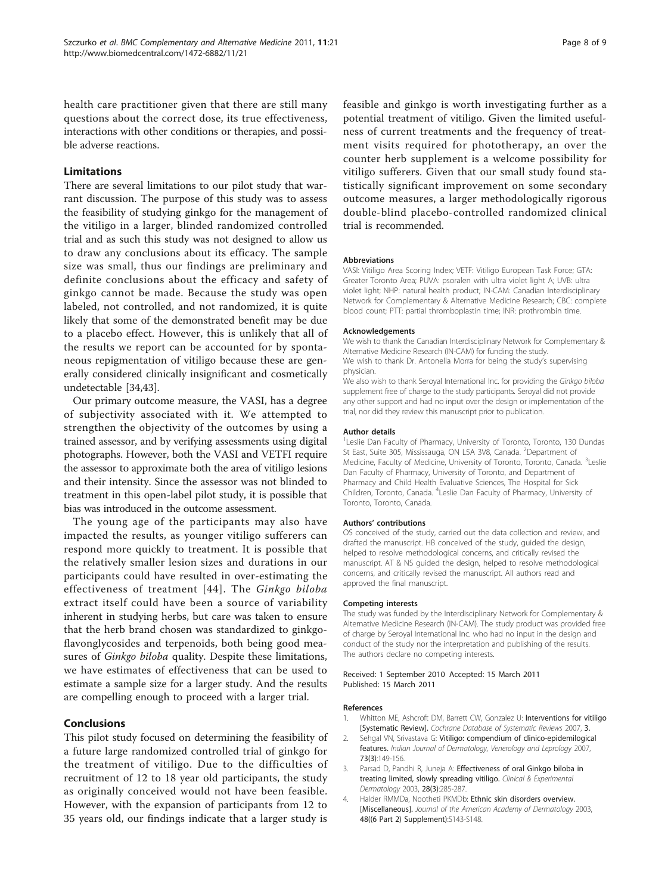<span id="page-7-0"></span>health care practitioner given that there are still many questions about the correct dose, its true effectiveness, interactions with other conditions or therapies, and possible adverse reactions.

# Limitations

There are several limitations to our pilot study that warrant discussion. The purpose of this study was to assess the feasibility of studying ginkgo for the management of the vitiligo in a larger, blinded randomized controlled trial and as such this study was not designed to allow us to draw any conclusions about its efficacy. The sample size was small, thus our findings are preliminary and definite conclusions about the efficacy and safety of ginkgo cannot be made. Because the study was open labeled, not controlled, and not randomized, it is quite likely that some of the demonstrated benefit may be due to a placebo effect. However, this is unlikely that all of the results we report can be accounted for by spontaneous repigmentation of vitiligo because these are generally considered clinically insignificant and cosmetically undetectable [[34](#page-8-0),[43](#page-8-0)].

Our primary outcome measure, the VASI, has a degree of subjectivity associated with it. We attempted to strengthen the objectivity of the outcomes by using a trained assessor, and by verifying assessments using digital photographs. However, both the VASI and VETFI require the assessor to approximate both the area of vitiligo lesions and their intensity. Since the assessor was not blinded to treatment in this open-label pilot study, it is possible that bias was introduced in the outcome assessment.

The young age of the participants may also have impacted the results, as younger vitiligo sufferers can respond more quickly to treatment. It is possible that the relatively smaller lesion sizes and durations in our participants could have resulted in over-estimating the effectiveness of treatment [[44\]](#page-8-0). The Ginkgo biloba extract itself could have been a source of variability inherent in studying herbs, but care was taken to ensure that the herb brand chosen was standardized to ginkgoflavonglycosides and terpenoids, both being good measures of *Ginkgo biloba* quality. Despite these limitations, we have estimates of effectiveness that can be used to estimate a sample size for a larger study. And the results are compelling enough to proceed with a larger trial.

# Conclusions

This pilot study focused on determining the feasibility of a future large randomized controlled trial of ginkgo for the treatment of vitiligo. Due to the difficulties of recruitment of 12 to 18 year old participants, the study as originally conceived would not have been feasible. However, with the expansion of participants from 12 to 35 years old, our findings indicate that a larger study is

feasible and ginkgo is worth investigating further as a potential treatment of vitiligo. Given the limited usefulness of current treatments and the frequency of treatment visits required for phototherapy, an over the counter herb supplement is a welcome possibility for vitiligo sufferers. Given that our small study found statistically significant improvement on some secondary outcome measures, a larger methodologically rigorous double-blind placebo-controlled randomized clinical trial is recommended.

#### Abbreviations

VASI: Vitiligo Area Scoring Index; VETF: Vitiligo European Task Force; GTA: Greater Toronto Area; PUVA: psoralen with ultra violet light A; UVB: ultra violet light; NHP: natural health product; IN-CAM: Canadian Interdisciplinary Network for Complementary & Alternative Medicine Research; CBC: complete blood count; PTT: partial thromboplastin time; INR: prothrombin time.

#### Acknowledgements

We wish to thank the Canadian Interdisciplinary Network for Complementary & Alternative Medicine Research (IN-CAM) for funding the study. We wish to thank Dr. Antonella Morra for being the study's supervising physician.

We also wish to thank Seroyal International Inc. for providing the Ginkgo biloba supplement free of charge to the study participants. Seroyal did not provide any other support and had no input over the design or implementation of the trial, nor did they review this manuscript prior to publication.

#### Author details

<sup>1</sup> Leslie Dan Faculty of Pharmacy, University of Toronto, Toronto, 130 Dundas St East, Suite 305, Mississauga, ON L5A 3V8, Canada. <sup>2</sup>Department of Medicine, Faculty of Medicine, University of Toronto, Toronto, Canada. <sup>3</sup>Leslie Dan Faculty of Pharmacy, University of Toronto, and Department of Pharmacy and Child Health Evaluative Sciences, The Hospital for Sick Children, Toronto, Canada. <sup>4</sup>Leslie Dan Faculty of Pharmacy, University of Toronto, Toronto, Canada.

#### Authors' contributions

OS conceived of the study, carried out the data collection and review, and drafted the manuscript. HB conceived of the study, guided the design, helped to resolve methodological concerns, and critically revised the manuscript. AT & NS guided the design, helped to resolve methodological concerns, and critically revised the manuscript. All authors read and approved the final manuscript.

#### Competing interests

The study was funded by the Interdisciplinary Network for Complementary & Alternative Medicine Research (IN-CAM). The study product was provided free of charge by Seroyal International Inc. who had no input in the design and conduct of the study nor the interpretation and publishing of the results. The authors declare no competing interests.

#### Received: 1 September 2010 Accepted: 15 March 2011 Published: 15 March 2011

#### References

- 1. Whitton ME, Ashcroft DM, Barrett CW, Gonzalez U: Interventions for vitiligo [Systematic Review]. Cochrane Database of Systematic Reviews 2007, 3.
- Sehgal VN, Srivastava G: Vitiligo: compendium of clinico-epidemilogical features. Indian Journal of Dermatology, Venerology and Leprology 2007, 73(3):149-156.
- Parsad D, Pandhi R, Juneja A: Effectiveness of oral Ginkgo biloba in treating limited, slowly spreading vitiligo. Clinical & Experimental Dermatology 2003, 28(3):285-287.
- 4. Halder RMMDa, Nootheti PKMDb: [Ethnic skin disorders overview.](http://www.ncbi.nlm.nih.gov/pubmed/12789168?dopt=Abstract) [\[Miscellaneous\].](http://www.ncbi.nlm.nih.gov/pubmed/12789168?dopt=Abstract) Journal of the American Academy of Dermatology 2003, 48((6 Part 2) Supplement):S143-S148.